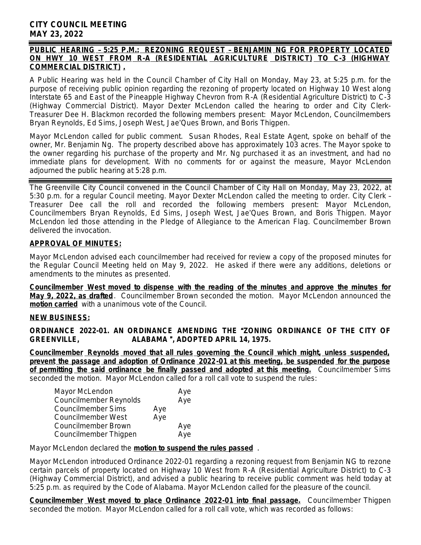## *PUBLIC HEARING* – *5:25 P.M.: REZONING REQUEST* – *BENJAMIN NG FOR PROPERTY LOCATED ON HWY 10 WEST FROM R-A (RESIDENTIAL AGRICULTURE DISTRICT) TO C-3 (HIGHWAY COMMERCIAL DISTRICT) .*

A Public Hearing was held in the Council Chamber of City Hall on Monday, May 23, at 5:25 p.m. for the purpose of receiving public opinion regarding the rezoning of property located on Highway 10 West along Interstate 65 and East of the Pineapple Highway Chevron from R-A (Residential Agriculture District) to C-3 (Highway Commercial District). Mayor Dexter McLendon called the hearing to order and City Clerk-Treasurer Dee H. Blackmon recorded the following members present: Mayor McLendon, Councilmembers Bryan Reynolds, Ed Sims, Joseph West, Jae'Ques Brown, and Boris Thigpen.

Mayor McLendon called for public comment. Susan Rhodes, Real Estate Agent, spoke on behalf of the owner, Mr. Benjamin Ng. The property described above has approximately 103 acres. The Mayor spoke to the owner regarding his purchase of the property and Mr. Ng purchased it as an investment, and had no immediate plans for development. With no comments for or against the measure, Mayor McLendon adjourned the public hearing at 5:28 p.m.

The Greenville City Council convened in the Council Chamber of City Hall on Monday, May 23, 2022, at 5:30 p.m. for a regular Council meeting. Mayor Dexter McLendon called the meeting to order. City Clerk – Treasurer Dee call the roll and recorded the following members present: Mayor McLendon, Councilmembers Bryan Reynolds, Ed Sims, Joseph West, Jae'Ques Brown, and Boris Thigpen. Mayor McLendon led those attending in the Pledge of Allegiance to the American Flag. Councilmember Brown delivered the invocation.

# **APPROVAL OF MINUTES:**

Mayor McLendon advised each councilmember had received for review a copy of the proposed minutes for the Regular Council Meeting held on May 9, 2022. He asked if there were any additions, deletions or amendments to the minutes as presented.

**Councilmember West moved to dispense with the reading of the minutes and approve the minutes for May 9, 2022, as drafted**. Councilmember Brown seconded the motion. Mayor McLendon announced the **motion carried** with a unanimous vote of the Council.

## **NEW BUSINESS:**

**ORDINANCE 2022-01. AN ORDINANCE AMENDING THE** "**ZONING ORDINANCE OF THE CITY OF GREENVILLE, ALABAMA** "**, ADOPTED APRIL 14, 1975.**

**Councilmember Reynolds moved that all rules governing the Council which might, unless suspended, prevent the passage and adoption of Ordinance 2022-01 at this meeting, be suspended for the purpose of permitting the said ordinance be finally passed and adopted at this meeting.** Councilmember Sims seconded the motion. Mayor McLendon called for a roll call vote to suspend the rules:

| Aye |
|-----|
| Aye |
|     |
|     |
| Aye |
| Aye |
|     |

Mayor McLendon declared the **motion to suspend the rules passed** .

Mayor McLendon introduced Ordinance 2022-01 regarding a rezoning request from Benjamin NG to rezone certain parcels of property located on Highway 10 West from R-A (Residential Agriculture District) to C-3 (Highway Commercial District), and advised a public hearing to receive public comment was held today at 5:25 p.m. as required by the Code of Alabama. Mayor McLendon called for the pleasure of the council.

**Councilmember West moved to place Ordinance 2022-01 into final passage.** Councilmember Thigpen seconded the motion. Mayor McLendon called for a roll call vote, which was recorded as follows: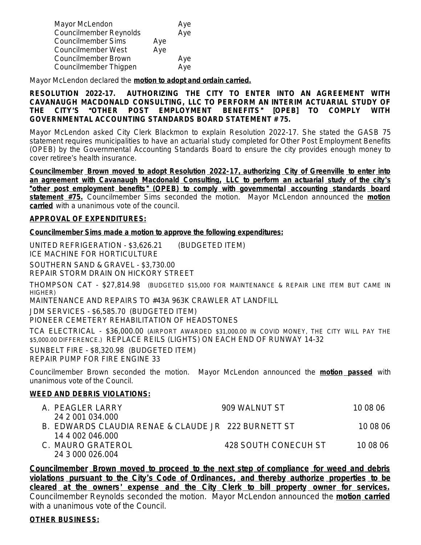| Mayor McLendon            |     | Aye |
|---------------------------|-----|-----|
| Councilmember Reynolds    |     | Aye |
| <b>Councilmember Sims</b> | Aye |     |
| Councilmember West        | Aye |     |
| Councilmember Brown       |     | Aye |
| Councilmember Thigpen     |     | Aye |

Mayor McLendon declared the **motion to adopt and ordain carried.**

**RESOLUTION 2022-17. AUTHORIZING THE CITY TO ENTER INTO AN AGREEMENT WITH CAVANAUGH MACDONALD CONSULTING, LLC TO PERFORM AN INTERIM ACTUARIAL STUDY OF THE CITY**'**S** "**OTHER POST EMPLOYMENT BENEFITS**" **[OPEB] TO COMPLY WITH GOVERNMENTAL ACCOUNTING STANDARDS BOARD STATEMENT # 75.**

Mayor McLendon asked City Clerk Blackmon to explain Resolution 2022-17. She stated the GASB 75 statement requires municipalities to have an actuarial study completed for Other Post Employment Benefits (OPEB) by the Governmental Accounting Standards Board to ensure the city provides enough money to cover retiree's health insurance.

**Councilmember Brown moved to adopt Resolution 2022-17, authorizing City of Greenville to enter into an agreement with Cavanaugh Macdonald Consulting, LLC to perform an actuarial study of the city**'**s** "**other post employment benefits** " **(OPEB) to comply with governmental accounting standards board statement #75.** Councilmember Sims seconded the motion. Mayor McLendon announced the **motion carried** with a unanimous vote of the council.

### **APPROVAL OF EXPENDITURES:**

**Councilmember Sims made a motion to approve the following expenditures:**

UNITED REFRIGERATION - \$3,626.21 (BUDGETED ITEM) ICE MACHINE FOR HORTICULTURE

SOUTHERN SAND & GRAVEL - \$3,730.00 REPAIR STORM DRAIN ON HICKORY STREET

THOMPSON CAT - \$27,814.98 (BUDGETED \$15,000 FOR MAINTENANCE & REPAIR LINE ITEM BUT CAME IN HIGHER)

MAINTENANCE AND REPAIRS TO #43A 963K CRAWLER AT LANDFILL

JDM SERVICES - \$6,585.70 (BUDGETED ITEM)

PIONEER CEMETERY REHABILITATION OF HEADSTONES

TCA ELECTRICAL - \$36,000.00 (AIRPORT AWARDED \$31,000.00 IN COVID MONEY, THE CITY WILL PAY THE \$5,000.00 DIFFERENCE.) REPLACE REILS (LIGHTS) ON EACH END OF RUNWAY 14-32

SUNBELT FIRE - \$8,320.98 (BUDGETED ITEM) REPAIR PUMP FOR FIRE ENGINE 33

Councilmember Brown seconded the motion. Mayor McLendon announced the **motion passed** with unanimous vote of the Council.

## **WEED AND DEBRIS VIOLATIONS:**

| A. PEAGLER LARRY                                    | 909 WALNUT ST        | 10 08 06 |
|-----------------------------------------------------|----------------------|----------|
| 24 2 001 034.000                                    |                      |          |
| B. EDWARDS CLAUDIA RENAE & CLAUDE JR 222 BURNETT ST |                      | 10.08.06 |
| 14 4 002 046 000                                    |                      |          |
| C. MAURO GRATEROL                                   | 428 SOUTH CONECUH ST | 10 08 06 |
| 24 3 000 026 004                                    |                      |          |

**Councilmember Brown moved to proceed to the next step of compliance for weed and debris violations pursuant to the City**'**s Code of Ordinances, and thereby authorize properties to be cleared at the owners**' **expense and the City Clerk to bill property owner for services.** Councilmember Reynolds seconded the motion. Mayor McLendon announced the **motion carried** with a unanimous vote of the Council.

#### **OTHER BUSINESS:**